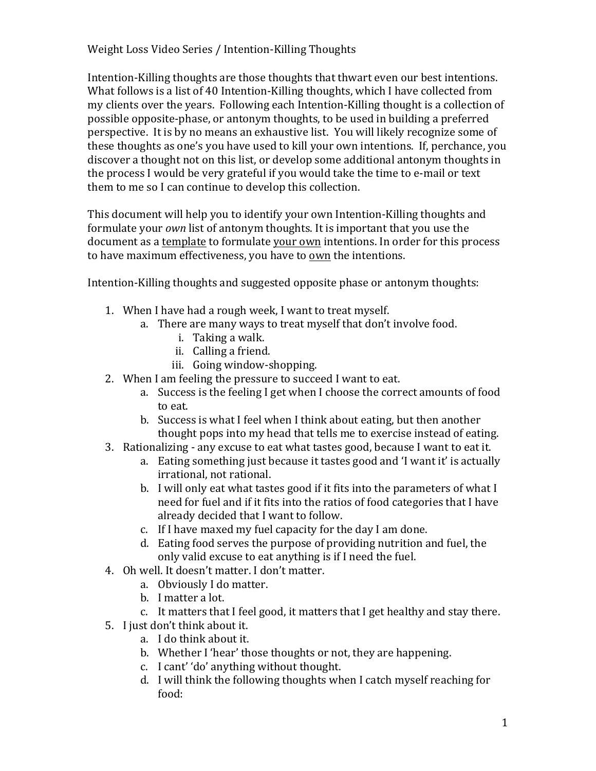Intention-Killing thoughts are those thoughts that thwart even our best intentions. What follows is a list of 40 Intention-Killing thoughts, which I have collected from my clients over the years. Following each Intention-Killing thought is a collection of possible opposite-phase, or antonym thoughts, to be used in building a preferred perspective. It is by no means an exhaustive list. You will likely recognize some of these thoughts as one's you have used to kill your own intentions. If, perchance, you discover a thought not on this list, or develop some additional antonym thoughts in the process I would be very grateful if you would take the time to e-mail or text them to me so I can continue to develop this collection.

This document will help you to identify your own Intention-Killing thoughts and formulate your *own* list of antonym thoughts. It is important that you use the document as a template to formulate your own intentions. In order for this process to have maximum effectiveness, you have to own the intentions.

Intention-Killing thoughts and suggested opposite phase or antonym thoughts:

- 1. When I have had a rough week, I want to treat myself.
	- a. There are many ways to treat myself that don't involve food.
		- i. Taking a walk.
		- ii. Calling a friend.
		- iii. Going window-shopping.
- 2. When I am feeling the pressure to succeed I want to eat.
	- a. Success is the feeling I get when I choose the correct amounts of food to eat.
	- b. Success is what I feel when I think about eating, but then another thought pops into my head that tells me to exercise instead of eating.
- 3. Rationalizing any excuse to eat what tastes good, because I want to eat it.
	- a. Eating something just because it tastes good and 'I want it' is actually irrational, not rational.
	- b. I will only eat what tastes good if it fits into the parameters of what I need for fuel and if it fits into the ratios of food categories that I have already decided that I want to follow.
	- c. If I have maxed my fuel capacity for the day I am done.
	- d. Eating food serves the purpose of providing nutrition and fuel, the only valid excuse to eat anything is if I need the fuel.
- 4. Oh well. It doesn't matter. I don't matter.
	- a. Obviously I do matter.
	- b. I matter a lot.
	- c. It matters that I feel good, it matters that I get healthy and stay there.
- 5. I just don't think about it.
	- a. I do think about it.
	- b. Whether I 'hear' those thoughts or not, they are happening.
	- c. I cant' 'do' anything without thought.
	- d. I will think the following thoughts when I catch myself reaching for food: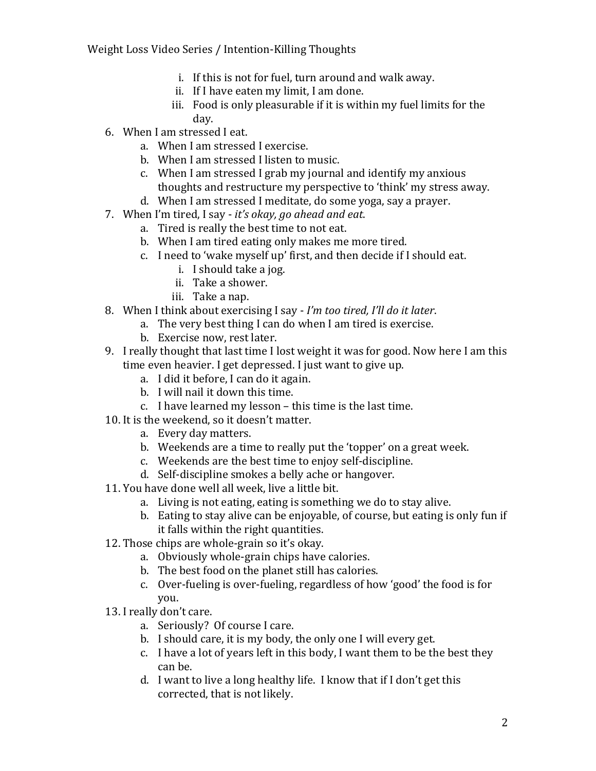- i. If this is not for fuel, turn around and walk away.
- ii. If I have eaten my limit, I am done.
- iii. Food is only pleasurable if it is within my fuel limits for the day.
- 6. When I am stressed I eat.
	- a. When I am stressed I exercise.
	- b. When I am stressed I listen to music.
	- c. When I am stressed I grab my journal and identify my anxious thoughts and restructure my perspective to 'think' my stress away.
	- d. When I am stressed I meditate, do some voga, say a prayer.
- 7. When I'm tired, I say *it's okay, go ahead and eat*.
	- a. Tired is really the best time to not eat.
	- b. When I am tired eating only makes me more tired.
	- c. I need to 'wake myself up' first, and then decide if I should eat.
		- i. I should take a jog.
		- ii. Take a shower.
		- iii. Take a nap.
- 8. When I think about exercising I say I'm too tired, I'll do it later.
	- a. The very best thing I can do when I am tired is exercise.
	- b. Exercise now, rest later.
- 9. I really thought that last time I lost weight it was for good. Now here I am this time even heavier. I get depressed. I just want to give up.
	- a. I did it before, I can do it again.
	- b. I will nail it down this time.
	- c. I have learned my lesson this time is the last time.
- 10. It is the weekend, so it doesn't matter.
	- a. Every day matters.
	- b. Weekends are a time to really put the 'topper' on a great week.
	- c. Weekends are the best time to enjoy self-discipline.
	- d. Self-discipline smokes a belly ache or hangover.
- 11. You have done well all week, live a little bit.
	- a. Living is not eating, eating is something we do to stay alive.
	- b. Eating to stay alive can be enjoyable, of course, but eating is only fun if it falls within the right quantities.
- 12. Those chips are whole-grain so it's okay.
	- a. Obviously whole-grain chips have calories.
	- b. The best food on the planet still has calories.
	- c. Over-fueling is over-fueling, regardless of how 'good' the food is for you.
- 13. I really don't care.
	- a. Seriously? Of course I care.
	- b. I should care, it is my body, the only one I will every get.
	- c. I have a lot of years left in this body, I want them to be the best they can be.
	- d. I want to live a long healthy life. I know that if I don't get this corrected, that is not likely.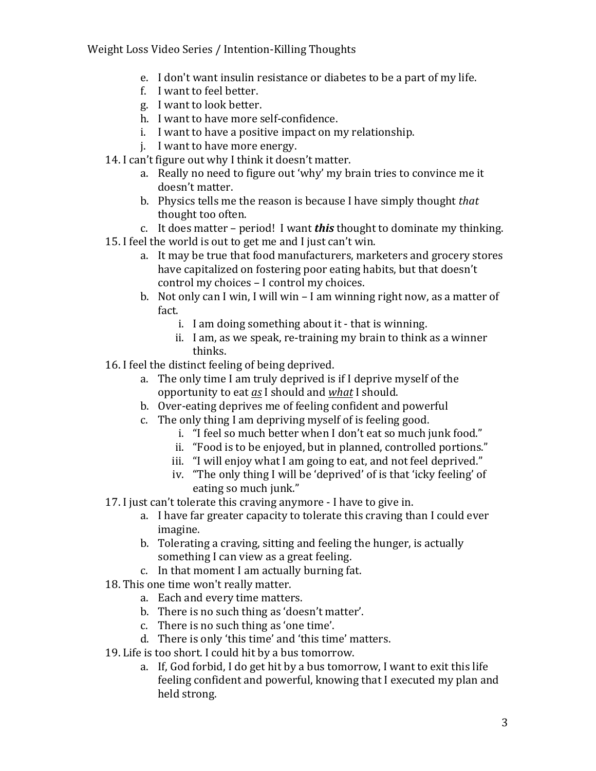- e. I don't want insulin resistance or diabetes to be a part of my life.
- f. I want to feel better.
- g. I want to look better.
- h. I want to have more self-confidence.
- i. I want to have a positive impact on my relationship.
- j. I want to have more energy.
- 14. I can't figure out why I think it doesn't matter.
	- a. Really no need to figure out 'why' my brain tries to convince me it doesn't matter.
	- b. Physics tells me the reason is because I have simply thought *that* thought too often.
	- c. It does matter period! I want *this* thought to dominate my thinking.
- 15. I feel the world is out to get me and I just can't win.
	- a. It may be true that food manufacturers, marketers and grocery stores have capitalized on fostering poor eating habits, but that doesn't control my choices - I control my choices.
	- b. Not only can I win, I will win I am winning right now, as a matter of fact.
		- i. I am doing something about it that is winning.
		- ii. I am, as we speak, re-training my brain to think as a winner thinks.
- 16. I feel the distinct feeling of being deprived.
	- a. The only time I am truly deprived is if I deprive myself of the opportunity to eat *as* I should and *what* I should.
	- b. Over-eating deprives me of feeling confident and powerful
	- c. The only thing I am depriving myself of is feeling good.
		- i. "I feel so much better when I don't eat so much junk food."
		- ii. "Food is to be enjoyed, but in planned, controlled portions."
		- iii. "I will enjoy what I am going to eat, and not feel deprived."
		- iv. "The only thing I will be 'deprived' of is that 'icky feeling' of eating so much junk."
- 17. I just can't tolerate this craving anymore I have to give in.
	- a. I have far greater capacity to tolerate this craving than I could ever imagine.
	- b. Tolerating a craving, sitting and feeling the hunger, is actually something I can view as a great feeling.
	- c. In that moment I am actually burning fat.
- 18. This one time won't really matter.
	- a. Each and every time matters.
	- b. There is no such thing as 'doesn't matter'.
	- c. There is no such thing as 'one time'.
	- d. There is only 'this time' and 'this time' matters.
- 19. Life is too short. I could hit by a bus tomorrow.
	- a. If, God forbid, I do get hit by a bus tomorrow, I want to exit this life feeling confident and powerful, knowing that I executed my plan and held strong.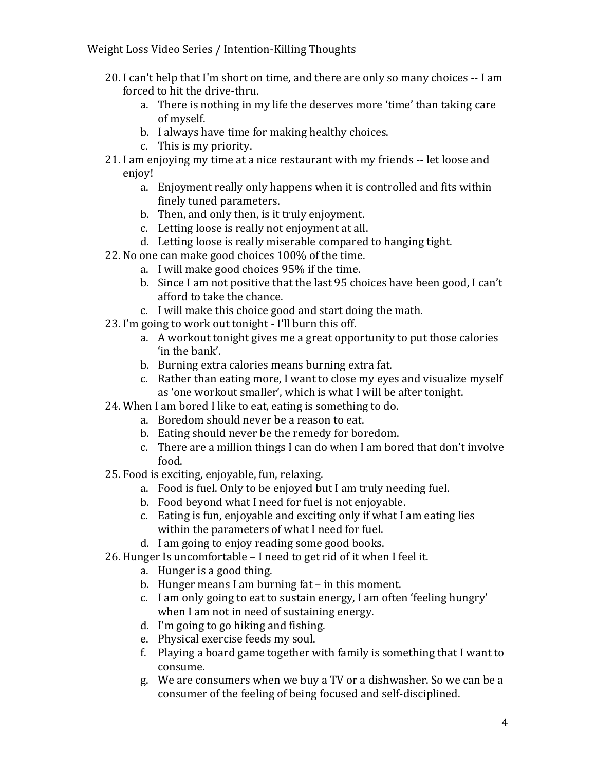- 20. I can't help that I'm short on time, and there are only so many choices -- I am forced to hit the drive-thru.
	- a. There is nothing in my life the deserves more 'time' than taking care of myself.
	- b. I always have time for making healthy choices.
	- c. This is my priority.
- 21. I am enjoying my time at a nice restaurant with my friends -- let loose and enjoy!
	- a. Enjoyment really only happens when it is controlled and fits within finely tuned parameters.
	- b. Then, and only then, is it truly enjoyment.
	- c. Letting loose is really not enjoyment at all.
	- d. Letting loose is really miserable compared to hanging tight.
- 22. No one can make good choices 100% of the time.
	- a. I will make good choices 95% if the time.
	- b. Since I am not positive that the last 95 choices have been good, I can't afford to take the chance.
	- c. I will make this choice good and start doing the math.
- 23. I'm going to work out tonight I'll burn this off.
	- a. A workout tonight gives me a great opportunity to put those calories 'in the bank'.
	- b. Burning extra calories means burning extra fat.
	- c. Rather than eating more, I want to close my eyes and visualize myself as 'one workout smaller', which is what I will be after tonight.
- 24. When I am bored I like to eat, eating is something to do.
	- a. Boredom should never be a reason to eat.
	- b. Eating should never be the remedy for boredom.
	- c. There are a million things I can do when I am bored that don't involve food.
- 25. Food is exciting, enjoyable, fun, relaxing.
	- a. Food is fuel. Only to be enjoyed but I am truly needing fuel.
	- b. Food beyond what I need for fuel is not enjoyable.
	- c. Eating is fun, enjoyable and exciting only if what I am eating lies within the parameters of what I need for fuel.
	- d. I am going to enjoy reading some good books.
- 26. Hunger Is uncomfortable  $-$  I need to get rid of it when I feel it.
	- a. Hunger is a good thing.
	- b. Hunger means I am burning  $fat in this moment$ .
	- c. I am only going to eat to sustain energy, I am often 'feeling hungry' when I am not in need of sustaining energy.
	- d. I'm going to go hiking and fishing.
	- e. Physical exercise feeds my soul.
	- f. Playing a board game together with family is something that I want to consume.
	- g. We are consumers when we buy a TV or a dishwasher. So we can be a consumer of the feeling of being focused and self-disciplined.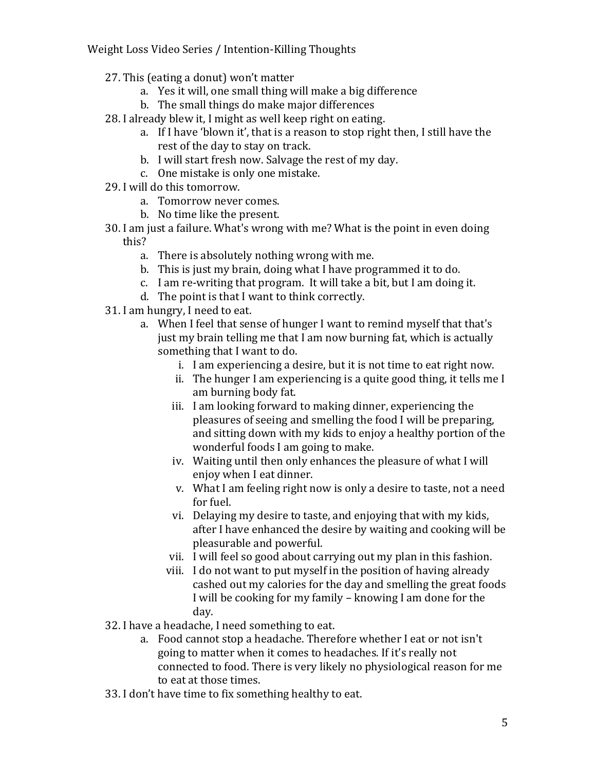- 27. This (eating a donut) won't matter
	- a. Yes it will, one small thing will make a big difference
	- b. The small things do make major differences
- 28. I already blew it, I might as well keep right on eating.
	- a. If I have 'blown it', that is a reason to stop right then, I still have the rest of the day to stay on track.
	- b. I will start fresh now. Salvage the rest of my day.
	- c. One mistake is only one mistake.
- 29. I will do this tomorrow.
	- a. Tomorrow never comes.
	- b. No time like the present.
- 30. I am just a failure. What's wrong with me? What is the point in even doing this?
	- a. There is absolutely nothing wrong with me.
	- b. This is just my brain, doing what I have programmed it to do.
	- c. I am re-writing that program. It will take a bit, but I am doing it.
	- d. The point is that I want to think correctly.
- 31. I am hungry, I need to eat.
	- a. When I feel that sense of hunger I want to remind myself that that's just my brain telling me that I am now burning fat, which is actually something that I want to do.
		- i. I am experiencing a desire, but it is not time to eat right now.
		- ii. The hunger I am experiencing is a quite good thing, it tells me I am burning body fat.
		- iii. I am looking forward to making dinner, experiencing the pleasures of seeing and smelling the food I will be preparing, and sitting down with my kids to enjoy a healthy portion of the wonderful foods I am going to make.
		- iv. Waiting until then only enhances the pleasure of what I will enjoy when I eat dinner.
		- v. What I am feeling right now is only a desire to taste, not a need for fuel.
		- vi. Delaying my desire to taste, and enjoying that with my kids, after I have enhanced the desire by waiting and cooking will be pleasurable and powerful.
		- vii. I will feel so good about carrying out my plan in this fashion.
		- viii. I do not want to put myself in the position of having already cashed out my calories for the day and smelling the great foods I will be cooking for my family – knowing I am done for the day.
- 32. I have a headache, I need something to eat.
	- a. Food cannot stop a headache. Therefore whether I eat or not isn't going to matter when it comes to headaches. If it's really not connected to food. There is very likely no physiological reason for me to eat at those times.
- 33. I don't have time to fix something healthy to eat.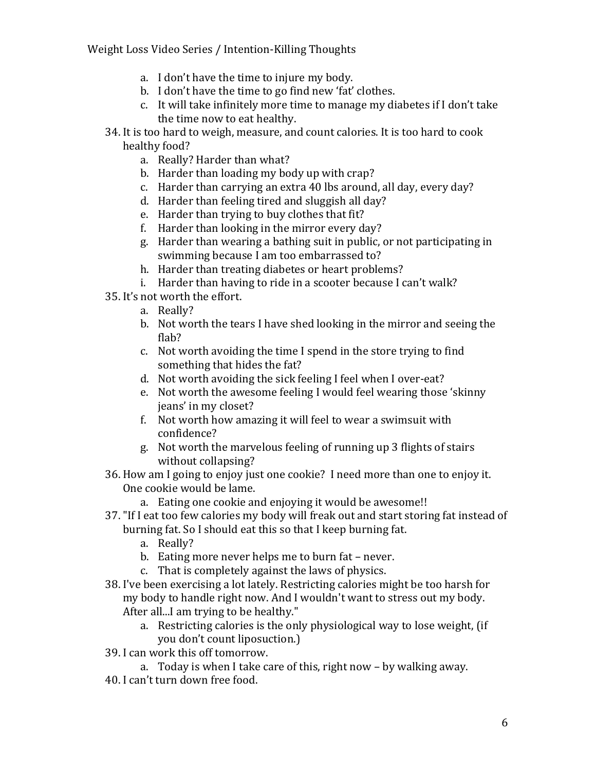- a. I don't have the time to injure my body.
- b. I don't have the time to go find new 'fat' clothes.
- c. It will take infinitely more time to manage my diabetes if I don't take the time now to eat healthy.
- 34. It is too hard to weigh, measure, and count calories. It is too hard to cook healthy food?
	- a. Really? Harder than what?
	- b. Harder than loading my body up with crap?
	- c. Harder than carrying an extra 40 lbs around, all day, every day?
	- d. Harder than feeling tired and sluggish all day?
	- e. Harder than trying to buy clothes that fit?
	- f. Harder than looking in the mirror every day?
	- g. Harder than wearing a bathing suit in public, or not participating in swimming because I am too embarrassed to?
	- h. Harder than treating diabetes or heart problems?
	- i. Harder than having to ride in a scooter because I can't walk?
- 35. It's not worth the effort.
	- a. Really?
	- b. Not worth the tears I have shed looking in the mirror and seeing the flab?
	- c. Not worth avoiding the time I spend in the store trying to find something that hides the fat?
	- d. Not worth avoiding the sick feeling I feel when I over-eat?
	- e. Not worth the awesome feeling I would feel wearing those 'skinny jeans' in my closet?
	- f. Not worth how amazing it will feel to wear a swimsuit with confidence?
	- g. Not worth the marvelous feeling of running up 3 flights of stairs without collapsing?
- 36. How am I going to enjoy just one cookie? I need more than one to enjoy it. One cookie would be lame.
	- a. Eating one cookie and enjoying it would be awesome!!
- 37. "If I eat too few calories my body will freak out and start storing fat instead of burning fat. So I should eat this so that I keep burning fat.
	- a. Really?
	- b. Eating more never helps me to burn fat never.
	- c. That is completely against the laws of physics.
- 38. I've been exercising a lot lately. Restricting calories might be too harsh for my body to handle right now. And I wouldn't want to stress out my body. After all...I am trying to be healthy."
	- a. Restricting calories is the only physiological way to lose weight, (if you don't count liposuction.)
- 39. I can work this off tomorrow.
	- a. Today is when I take care of this, right now  $-$  by walking away.
- 40. I can't turn down free food.